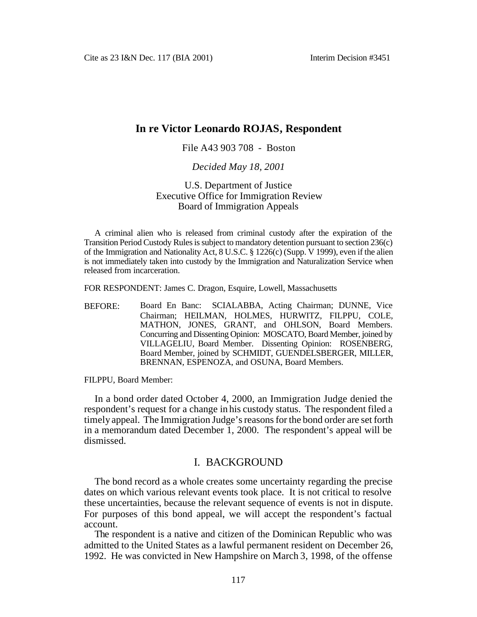# **In re Victor Leonardo ROJAS, Respondent**

#### File A43 903 708 - Boston

#### *Decided May 18, 2001*

#### U.S. Department of Justice Executive Office for Immigration Review Board of Immigration Appeals

A criminal alien who is released from criminal custody after the expiration of the Transition Period Custody Rules is subject to mandatory detention pursuant to section 236(c) of the Immigration and Nationality Act, 8 U.S.C. § 1226(c) (Supp. V 1999), even if the alien is not immediately taken into custody by the Immigration and Naturalization Service when released from incarceration.

FOR RESPONDENT: James C. Dragon, Esquire, Lowell, Massachusetts

BEFORE: Board En Banc: SCIALABBA, Acting Chairman; DUNNE, Vice Chairman; HEILMAN, HOLMES, HURWITZ, FILPPU, COLE, MATHON, JONES, GRANT, and OHLSON, Board Members. Concurring and Dissenting Opinion: MOSCATO, Board Member, joined by VILLAGELIU, Board Member. Dissenting Opinion: ROSENBERG, Board Member, joined by SCHMIDT, GUENDELSBERGER, MILLER, BRENNAN, ESPENOZA, and OSUNA, Board Members.

FILPPU, Board Member:

In a bond order dated October 4, 2000, an Immigration Judge denied the respondent's request for a change in his custody status. The respondent filed a timely appeal. The Immigration Judge's reasons for the bond order are set forth in a memorandum dated December 1, 2000. The respondent's appeal will be dismissed.

### I. BACKGROUND

The bond record as a whole creates some uncertainty regarding the precise dates on which various relevant events took place. It is not critical to resolve these uncertainties, because the relevant sequence of events is not in dispute. For purposes of this bond appeal, we will accept the respondent's factual account.

The respondent is a native and citizen of the Dominican Republic who was admitted to the United States as a lawful permanent resident on December 26, 1992. He was convicted in New Hampshire on March 3, 1998, of the offense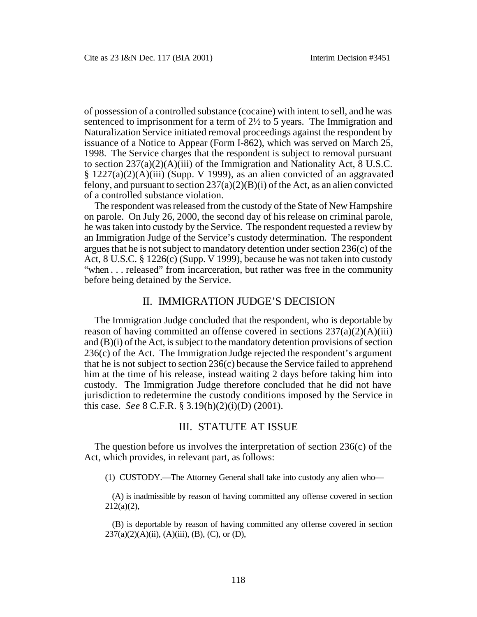of possession of a controlled substance (cocaine) with intent to sell, and he was sentenced to imprisonment for a term of 2½ to 5 years. The Immigration and Naturalization Service initiated removal proceedings against the respondent by issuance of a Notice to Appear (Form I-862), which was served on March 25, 1998. The Service charges that the respondent is subject to removal pursuant to section 237(a)(2)(A)(iii) of the Immigration and Nationality Act, 8 U.S.C. § 1227(a)(2)(A)(iii) (Supp. V 1999), as an alien convicted of an aggravated felony, and pursuant to section  $237(a)(2)(B)(i)$  of the Act, as an alien convicted of a controlled substance violation.

The respondent was released from the custody of the State of New Hampshire on parole. On July 26, 2000, the second day of his release on criminal parole, he was taken into custody by the Service. The respondent requested a review by an Immigration Judge of the Service's custody determination. The respondent argues that he is not subject to mandatory detention under section 236(c) of the Act, 8 U.S.C. § 1226(c) (Supp. V 1999), because he was not taken into custody "when . . . released" from incarceration, but rather was free in the community before being detained by the Service.

### II. IMMIGRATION JUDGE'S DECISION

The Immigration Judge concluded that the respondent, who is deportable by reason of having committed an offense covered in sections  $237(a)(2)(A)(iii)$ and (B)(i) of the Act, is subject to the mandatory detention provisions of section 236(c) of the Act. The Immigration Judge rejected the respondent's argument that he is not subject to section 236(c) because the Service failed to apprehend him at the time of his release, instead waiting 2 days before taking him into custody. The Immigration Judge therefore concluded that he did not have jurisdiction to redetermine the custody conditions imposed by the Service in this case. *See* 8 C.F.R. § 3.19(h)(2)(i)(D) (2001).

### III. STATUTE AT ISSUE

The question before us involves the interpretation of section  $236(c)$  of the Act, which provides, in relevant part, as follows:

(1) CUSTODY.—The Attorney General shall take into custody any alien who—

(A) is inadmissible by reason of having committed any offense covered in section  $212(a)(2)$ ,

(B) is deportable by reason of having committed any offense covered in section  $237(a)(2)(A)(ii)$ , (A)(iii), (B), (C), or (D),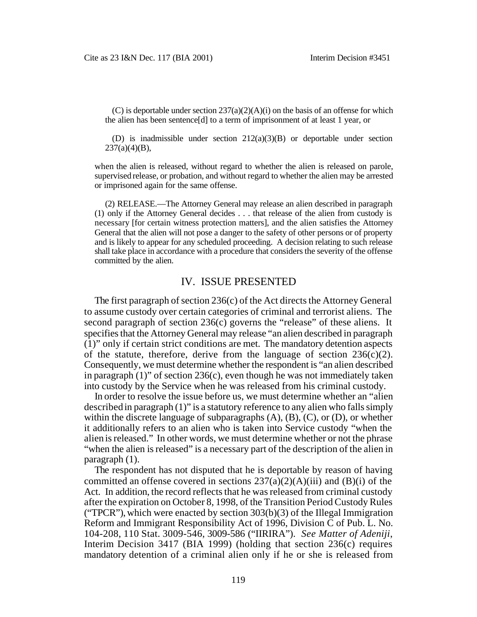(C) is deportable under section  $237(a)(2)(A)(i)$  on the basis of an offense for which the alien has been sentence[d] to a term of imprisonment of at least 1 year, or

(D) is inadmissible under section 212(a)(3)(B) or deportable under section  $237(a)(4)(B)$ ,

when the alien is released, without regard to whether the alien is released on parole, supervised release, or probation, and without regard to whether the alien may be arrested or imprisoned again for the same offense.

(2) RELEASE.—The Attorney General may release an alien described in paragraph (1) only if the Attorney General decides . . . that release of the alien from custody is necessary [for certain witness protection matters], and the alien satisfies the Attorney General that the alien will not pose a danger to the safety of other persons or of property and is likely to appear for any scheduled proceeding. A decision relating to such release shall take place in accordance with a procedure that considers the severity of the offense committed by the alien.

#### IV. ISSUE PRESENTED

The first paragraph of section 236(c) of the Act directs the Attorney General to assume custody over certain categories of criminal and terrorist aliens. The second paragraph of section 236(c) governs the "release" of these aliens. It specifies that the Attorney General may release "an alien described in paragraph (1)" only if certain strict conditions are met. The mandatory detention aspects of the statute, therefore, derive from the language of section  $236(c)(2)$ . Consequently, we must determine whether the respondent is "an alien described in paragraph  $(1)$ " of section 236 $(c)$ , even though he was not immediately taken into custody by the Service when he was released from his criminal custody.

In order to resolve the issue before us, we must determine whether an "alien described in paragraph (1)" is a statutory reference to any alien who falls simply within the discrete language of subparagraphs  $(A)$ ,  $(B)$ ,  $(C)$ , or  $(D)$ , or whether it additionally refers to an alien who is taken into Service custody "when the alien is released." In other words, we must determine whether or not the phrase "when the alien is released" is a necessary part of the description of the alien in paragraph (1).

The respondent has not disputed that he is deportable by reason of having committed an offense covered in sections  $237(a)(2)(A)(iii)$  and  $(B)(i)$  of the Act. In addition, the record reflects that he was released from criminal custody after the expiration on October 8, 1998, of the Transition Period Custody Rules ("TPCR"), which were enacted by section  $303(b)(3)$  of the Illegal Immigration Reform and Immigrant Responsibility Act of 1996, Division C of Pub. L. No. 104-208, 110 Stat. 3009-546, 3009-586 ("IIRIRA"). *See Matter of Adeniji*, Interim Decision 3417 (BIA 1999) (holding that section 236(c) requires mandatory detention of a criminal alien only if he or she is released from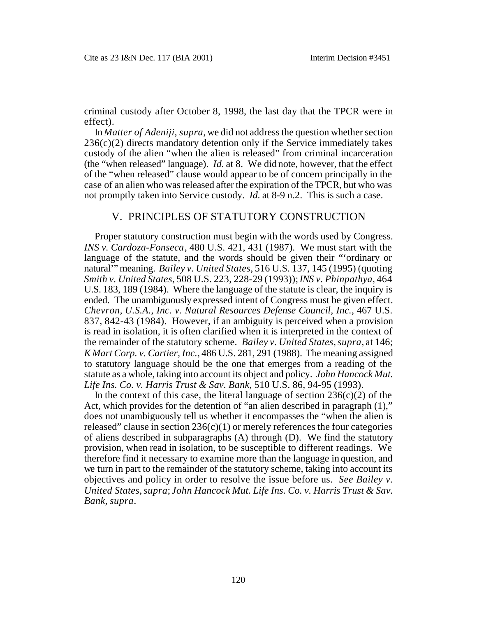criminal custody after October 8, 1998, the last day that the TPCR were in effect).

In *Matter of Adeniji*, *supra*, we did not address the question whether section  $236(c)(2)$  directs mandatory detention only if the Service immediately takes custody of the alien "when the alien is released" from criminal incarceration (the "when released" language). *Id.* at 8. We did note, however, that the effect of the "when released" clause would appear to be of concern principally in the case of an alien who was released after the expiration of the TPCR, but who was not promptly taken into Service custody. *Id.* at 8-9 n.2. This is such a case.

#### V. PRINCIPLES OF STATUTORY CONSTRUCTION

Proper statutory construction must begin with the words used by Congress. *INS v. Cardoza-Fonseca*, 480 U.S. 421, 431 (1987). We must start with the language of the statute, and the words should be given their "'ordinary or natural'" meaning. *Bailey v. United States*, 516 U.S. 137, 145 (1995) (quoting *Smith v. United States*, 508 U.S. 223, 228-29 (1993)); *INS v. Phinpathya*, 464 U.S. 183, 189 (1984). Where the language of the statute is clear, the inquiry is ended. The unambiguously expressed intent of Congress must be given effect. *Chevron, U.S.A., Inc. v. Natural Resources Defense Council, Inc.*, 467 U.S. 837, 842-43 (1984). However, if an ambiguity is perceived when a provision is read in isolation, it is often clarified when it is interpreted in the context of the remainder of the statutory scheme. *Bailey v. United States*, *supra*, at 146; *K Mart Corp. v. Cartier, Inc.*, 486 U.S. 281, 291 (1988). The meaning assigned to statutory language should be the one that emerges from a reading of the statute as a whole, taking into account its object and policy. *John Hancock Mut. Life Ins. Co. v. Harris Trust & Sav. Bank*, 510 U.S. 86, 94-95 (1993).

In the context of this case, the literal language of section  $236(c)(2)$  of the Act, which provides for the detention of "an alien described in paragraph (1)," does not unambiguously tell us whether it encompasses the "when the alien is released" clause in section  $236(c)(1)$  or merely references the four categories of aliens described in subparagraphs (A) through (D). We find the statutory provision, when read in isolation, to be susceptible to different readings. We therefore find it necessary to examine more than the language in question, and we turn in part to the remainder of the statutory scheme, taking into account its objectives and policy in order to resolve the issue before us. *See Bailey v. United States*, *supra*; *John Hancock Mut. Life Ins. Co. v. Harris Trust & Sav. Bank*, *supra*.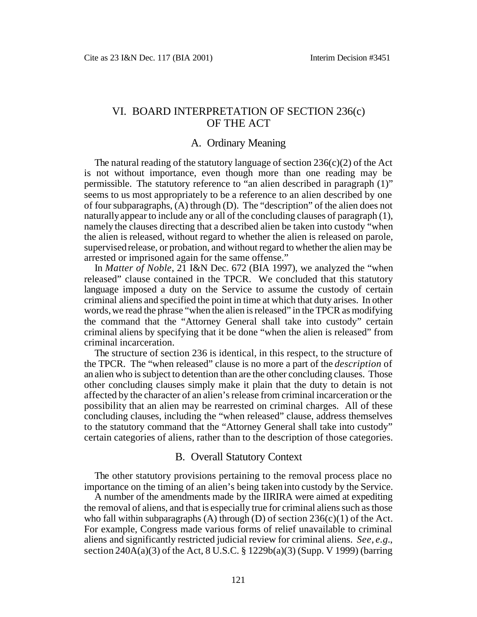# VI. BOARD INTERPRETATION OF SECTION 236(c) OF THE ACT

### A. Ordinary Meaning

The natural reading of the statutory language of section  $236(c)(2)$  of the Act is not without importance, even though more than one reading may be permissible. The statutory reference to "an alien described in paragraph (1)" seems to us most appropriately to be a reference to an alien described by one of four subparagraphs, (A) through (D). The "description" of the alien does not naturally appear to include any or all of the concluding clauses of paragraph (1), namely the clauses directing that a described alien be taken into custody "when the alien is released, without regard to whether the alien is released on parole, supervised release, or probation, and without regard to whether the alien may be arrested or imprisoned again for the same offense."

In *Matter of Noble*, 21 I&N Dec. 672 (BIA 1997), we analyzed the "when released" clause contained in the TPCR. We concluded that this statutory language imposed a duty on the Service to assume the custody of certain criminal aliens and specified the point in time at which that duty arises. In other words, we read the phrase "when the alien is released" in the TPCR as modifying the command that the "Attorney General shall take into custody" certain criminal aliens by specifying that it be done "when the alien is released" from criminal incarceration.

The structure of section 236 is identical, in this respect, to the structure of the TPCR. The "when released" clause is no more a part of the *description* of an alien who is subject to detention than are the other concluding clauses. Those other concluding clauses simply make it plain that the duty to detain is not affected by the character of an alien's release from criminal incarceration or the possibility that an alien may be rearrested on criminal charges. All of these concluding clauses, including the "when released" clause, address themselves to the statutory command that the "Attorney General shall take into custody" certain categories of aliens, rather than to the description of those categories.

#### B. Overall Statutory Context

The other statutory provisions pertaining to the removal process place no importance on the timing of an alien's being taken into custody by the Service.

A number of the amendments made by the IIRIRA were aimed at expediting the removal of aliens, and that is especially true for criminal aliens such as those who fall within subparagraphs (A) through (D) of section  $236(c)(1)$  of the Act. For example, Congress made various forms of relief unavailable to criminal aliens and significantly restricted judicial review for criminal aliens. *See, e.g.*, section 240A(a)(3) of the Act, 8 U.S.C. § 1229b(a)(3) (Supp. V 1999) (barring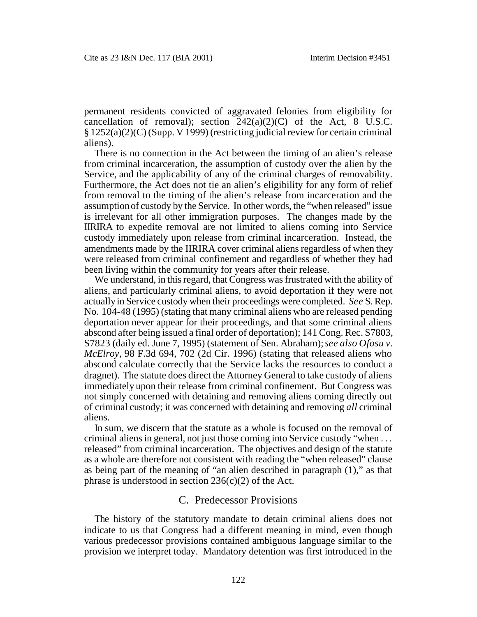permanent residents convicted of aggravated felonies from eligibility for cancellation of removal); section  $242(a)(2)(C)$  of the Act, 8 U.S.C. § 1252(a)(2)(C) (Supp. V 1999) (restricting judicial review for certain criminal aliens).

There is no connection in the Act between the timing of an alien's release from criminal incarceration, the assumption of custody over the alien by the Service, and the applicability of any of the criminal charges of removability. Furthermore, the Act does not tie an alien's eligibility for any form of relief from removal to the timing of the alien's release from incarceration and the assumption of custody by the Service. In other words, the "when released" issue is irrelevant for all other immigration purposes. The changes made by the IIRIRA to expedite removal are not limited to aliens coming into Service custody immediately upon release from criminal incarceration. Instead, the amendments made by the IIRIRA cover criminal aliens regardless of when they were released from criminal confinement and regardless of whether they had been living within the community for years after their release.

We understand, in this regard, that Congress was frustrated with the ability of aliens, and particularly criminal aliens, to avoid deportation if they were not actually in Service custody when their proceedings were completed. *See* S. Rep. No. 104-48 (1995) (stating that many criminal aliens who are released pending deportation never appear for their proceedings, and that some criminal aliens abscond after being issued a final order of deportation); 141 Cong. Rec. S7803, S7823 (daily ed. June 7, 1995) (statement of Sen. Abraham); *see also Ofosu v. McElroy*, 98 F.3d 694, 702 (2d Cir. 1996) (stating that released aliens who abscond calculate correctly that the Service lacks the resources to conduct a dragnet). The statute does direct the Attorney General to take custody of aliens immediately upon their release from criminal confinement. But Congress was not simply concerned with detaining and removing aliens coming directly out of criminal custody; it was concerned with detaining and removing *all* criminal aliens.

In sum, we discern that the statute as a whole is focused on the removal of criminal aliens in general, not just those coming into Service custody "when . . . released" from criminal incarceration. The objectives and design of the statute as a whole are therefore not consistent with reading the "when released" clause as being part of the meaning of "an alien described in paragraph (1)," as that phrase is understood in section  $236(c)(2)$  of the Act.

#### C. Predecessor Provisions

The history of the statutory mandate to detain criminal aliens does not indicate to us that Congress had a different meaning in mind, even though various predecessor provisions contained ambiguous language similar to the provision we interpret today. Mandatory detention was first introduced in the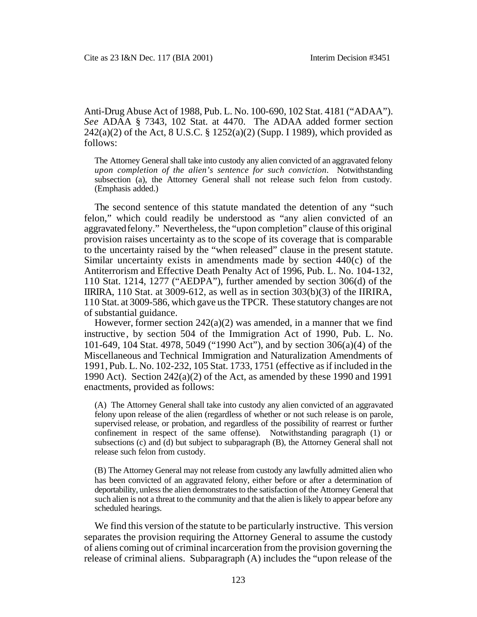Anti-Drug Abuse Act of 1988, Pub. L. No. 100-690, 102 Stat. 4181 ("ADAA"). *See* ADAA § 7343, 102 Stat. at 4470. The ADAA added former section  $242(a)(2)$  of the Act, 8 U.S.C. § 1252(a)(2) (Supp. I 1989), which provided as follows:

The Attorney General shall take into custody any alien convicted of an aggravated felony *upon completion of the alien's sentence for such conviction*. Notwithstanding subsection (a), the Attorney General shall not release such felon from custody. (Emphasis added.)

The second sentence of this statute mandated the detention of any "such felon," which could readily be understood as "any alien convicted of an aggravated felony." Nevertheless, the "upon completion" clause of this original provision raises uncertainty as to the scope of its coverage that is comparable to the uncertainty raised by the "when released" clause in the present statute. Similar uncertainty exists in amendments made by section 440(c) of the Antiterrorism and Effective Death Penalty Act of 1996, Pub. L. No. 104-132, 110 Stat. 1214, 1277 ("AEDPA"), further amended by section 306(d) of the IIRIRA, 110 Stat. at 3009-612, as well as in section 303(b)(3) of the IIRIRA, 110 Stat. at 3009-586, which gave us the TPCR. These statutory changes are not of substantial guidance.

However, former section 242(a)(2) was amended, in a manner that we find instructive , by section 504 of the Immigration Act of 1990, Pub. L. No. 101-649, 104 Stat. 4978, 5049 ("1990 Act"), and by section 306(a)(4) of the Miscellaneous and Technical Immigration and Naturalization Amendments of 1991, Pub. L. No. 102-232, 105 Stat. 1733, 1751 (effective as if included in the 1990 Act). Section 242(a)(2) of the Act, as amended by these 1990 and 1991 enactments, provided as follows:

(A) The Attorney General shall take into custody any alien convicted of an aggravated felony upon release of the alien (regardless of whether or not such release is on parole, supervised release, or probation, and regardless of the possibility of rearrest or further confinement in respect of the same offense). Notwithstanding paragraph (1) or subsections (c) and (d) but subject to subparagraph (B), the Attorney General shall not release such felon from custody.

(B) The Attorney General may not release from custody any lawfully admitted alien who has been convicted of an aggravated felony, either before or after a determination of deportability, unless the alien demonstrates to the satisfaction of the Attorney General that such alien is not a threat to the community and that the alien is likely to appear before any scheduled hearings.

We find this version of the statute to be particularly instructive. This version separates the provision requiring the Attorney General to assume the custody of aliens coming out of criminal incarceration from the provision governing the release of criminal aliens. Subparagraph (A) includes the "upon release of the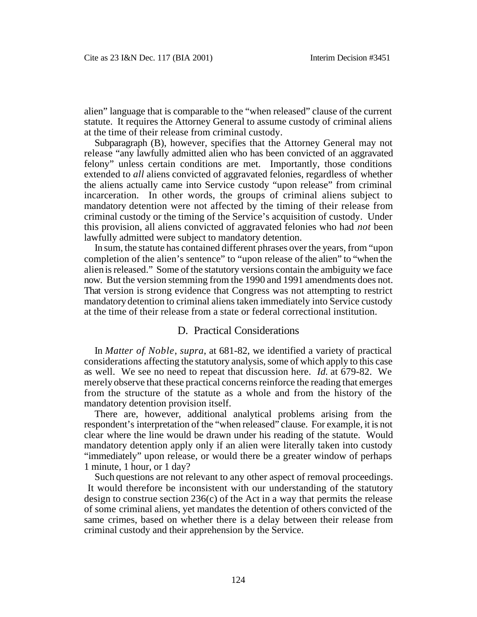alien" language that is comparable to the "when released" clause of the current statute. It requires the Attorney General to assume custody of criminal aliens at the time of their release from criminal custody.

Subparagraph (B), however, specifies that the Attorney General may not release "any lawfully admitted alien who has been convicted of an aggravated felony" unless certain conditions are met. Importantly, those conditions extended to *all* aliens convicted of aggravated felonies, regardless of whether the aliens actually came into Service custody "upon release" from criminal incarceration. In other words, the groups of criminal aliens subject to mandatory detention were not affected by the timing of their release from criminal custody or the timing of the Service's acquisition of custody. Under this provision, all aliens convicted of aggravated felonies who had *not* been lawfully admitted were subject to mandatory detention.

In sum, the statute has contained different phrases over the years, from "upon completion of the alien's sentence" to "upon release of the alien" to "when the alien is released." Some of the statutory versions contain the ambiguity we face now. But the version stemming from the 1990 and 1991 amendments does not. That version is strong evidence that Congress was not attempting to restrict mandatory detention to criminal aliens taken immediately into Service custody at the time of their release from a state or federal correctional institution.

#### D. Practical Considerations

In *Matter of Noble*, *supra*, at 681-82, we identified a variety of practical considerations affecting the statutory analysis, some of which apply to this case as well. We see no need to repeat that discussion here. *Id.* at 679-82. We merely observe that these practical concerns reinforce the reading that emerges from the structure of the statute as a whole and from the history of the mandatory detention provision itself.

There are, however, additional analytical problems arising from the respondent's interpretation of the "when released" clause. For example, it is not clear where the line would be drawn under his reading of the statute. Would mandatory detention apply only if an alien were literally taken into custody "immediately" upon release, or would there be a greater window of perhaps 1 minute, 1 hour, or 1 day?

Such questions are not relevant to any other aspect of removal proceedings. It would therefore be inconsistent with our understanding of the statutory design to construe section  $236(c)$  of the Act in a way that permits the release of some criminal aliens, yet mandates the detention of others convicted of the same crimes, based on whether there is a delay between their release from criminal custody and their apprehension by the Service.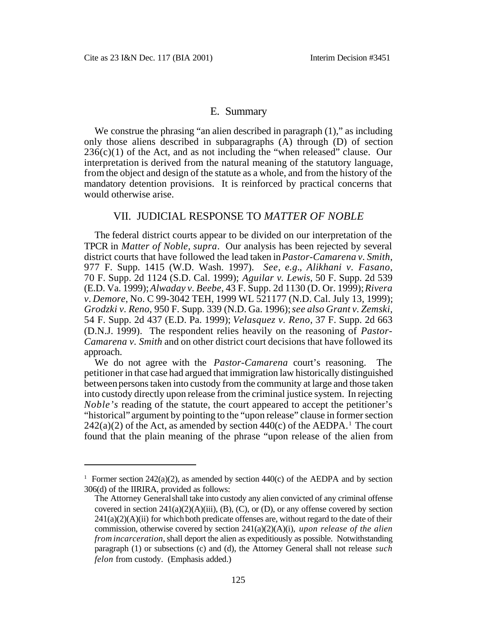#### E. Summary

We construe the phrasing "an alien described in paragraph  $(1)$ ," as including only those aliens described in subparagraphs (A) through (D) of section  $236(c)(1)$  of the Act, and as not including the "when released" clause. Our interpretation is derived from the natural meaning of the statutory language, from the object and design of the statute as a whole, and from the history of the mandatory detention provisions. It is reinforced by practical concerns that would otherwise arise.

## VII. JUDICIAL RESPONSE TO *MATTER OF NOBLE*

The federal district courts appear to be divided on our interpretation of the TPCR in *Matter of Noble*, *supra*. Our analysis has been rejected by several district courts that have followed the lead taken in *Pastor-Camarena v. Smith*, 977 F. Supp. 1415 (W.D. Wash. 1997). *See, e.g.*, *Alikhani v. Fasano*, 70 F. Supp. 2d 1124 (S.D. Cal. 1999); *Aguilar v. Lewis*, 50 F. Supp. 2d 539 (E.D. Va. 1999); *Alwaday v. Beebe*, 43 F. Supp. 2d 1130 (D. Or. 1999); *Rivera v. Demore*, No. C 99-3042 TEH, 1999 WL 521177 (N.D. Cal. July 13, 1999); *Grodzki v. Reno*, 950 F. Supp. 339 (N.D. Ga. 1996); *see also Grant v. Zemski*, 54 F. Supp. 2d 437 (E.D. Pa. 1999); *Velasquez v. Reno*, 37 F. Supp. 2d 663 (D.N.J. 1999). The respondent relies heavily on the reasoning of *Pastor-Camarena v. Smith* and on other district court decisions that have followed its approach.

We do not agree with the *Pastor-Camarena* court's reasoning. The petitioner in that case had argued that immigration law historically distinguished between persons taken into custody from the community at large and those taken into custody directly upon release from the criminal justice system. In rejecting *Noble's* reading of the statute, the court appeared to accept the petitioner's "historical" argument by pointing to the "upon release" clause in former section  $242(a)(2)$  of the Act, as amended by section  $440(c)$  of the AEDPA.<sup>1</sup> The court found that the plain meaning of the phrase "upon release of the alien from

<sup>&</sup>lt;sup>1</sup> Former section 242(a)(2), as amended by section 440(c) of the AEDPA and by section 306(d) of the IIRIRA, provided as follows:

The Attorney General shall take into custody any alien convicted of any criminal offense covered in section  $241(a)(2)(A)(iii)$ , (B), (C), or (D), or any offense covered by section  $241(a)(2)(A)(ii)$  for which both predicate offenses are, without regard to the date of their commission, otherwise covered by section 241(a)(2)(A)(i), *upon release of the alien from incarceration*, shall deport the alien as expeditiously as possible. Notwithstanding paragraph (1) or subsections (c) and (d), the Attorney General shall not release *such felon* from custody. (Emphasis added.)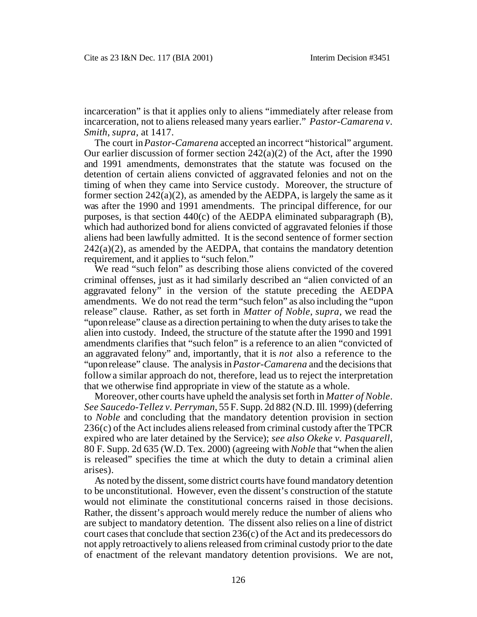incarceration" is that it applies only to aliens "immediately after release from incarceration, not to aliens released many years earlier." *Pastor-Camarena v. Smith*, *supra*, at 1417.

The court in *Pastor-Camarena* accepted an incorrect "historical" argument. Our earlier discussion of former section 242(a)(2) of the Act, after the 1990 and 1991 amendments, demonstrates that the statute was focused on the detention of certain aliens convicted of aggravated felonies and not on the timing of when they came into Service custody. Moreover, the structure of former section  $242(a)(2)$ , as amended by the AEDPA, is largely the same as it was after the 1990 and 1991 amendments. The principal difference, for our purposes, is that section 440(c) of the AEDPA eliminated subparagraph (B), which had authorized bond for aliens convicted of aggravated felonies if those aliens had been lawfully admitted. It is the second sentence of former section  $242(a)(2)$ , as amended by the AEDPA, that contains the mandatory detention requirement, and it applies to "such felon."

We read "such felon" as describing those aliens convicted of the covered criminal offenses, just as it had similarly described an "alien convicted of an aggravated felony" in the version of the statute preceding the AEDPA amendments. We do not read the term "such felon" as also including the "upon release" clause. Rather, as set forth in *Matter of Noble*, *supra*, we read the "upon release" clause as a direction pertaining to when the duty arises to take the alien into custody. Indeed, the structure of the statute after the 1990 and 1991 amendments clarifies that "such felon" is a reference to an alien "convicted of an aggravated felony" and, importantly, that it is *not* also a reference to the "upon release" clause. The analysis in *Pastor-Camarena* and the decisions that follow a similar approach do not, therefore, lead us to reject the interpretation that we otherwise find appropriate in view of the statute as a whole.

Moreover, other courts have upheld the analysis set forth in *Matter of Noble*. *See Saucedo-Tellez v. Perryman*, 55 F. Supp. 2d 882 (N.D. Ill. 1999) (deferring to *Noble* and concluding that the mandatory detention provision in section 236(c) of the Act includes aliens released from criminal custody after the TPCR expired who are later detained by the Service); *see also Okeke v. Pasquarell*, 80 F. Supp. 2d 635 (W.D. Tex. 2000) (agreeing with *Noble* that "when the alien is released" specifies the time at which the duty to detain a criminal alien arises).

As noted by the dissent, some district courts have found mandatory detention to be unconstitutional. However, even the dissent's construction of the statute would not eliminate the constitutional concerns raised in those decisions. Rather, the dissent's approach would merely reduce the number of aliens who are subject to mandatory detention. The dissent also relies on a line of district court cases that conclude that section 236(c) of the Act and its predecessors do not apply retroactively to aliens released from criminal custody prior to the date of enactment of the relevant mandatory detention provisions. We are not,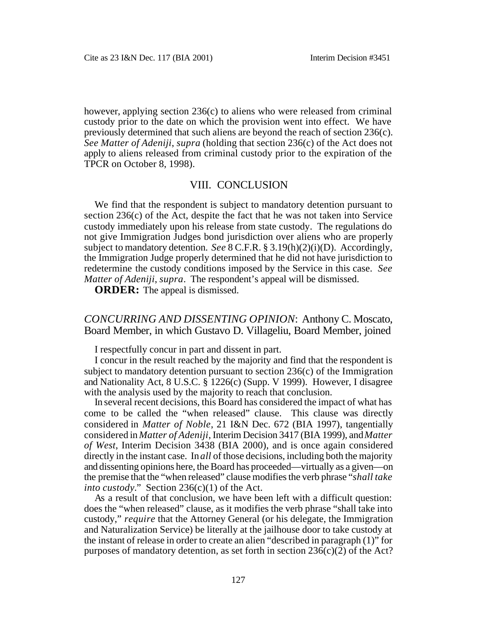however, applying section 236(c) to aliens who were released from criminal custody prior to the date on which the provision went into effect. We have previously determined that such aliens are beyond the reach of section 236(c). *See Matter of Adeniji*, *supra* (holding that section 236(c) of the Act does not apply to aliens released from criminal custody prior to the expiration of the TPCR on October 8, 1998).

### VIII. CONCLUSION

We find that the respondent is subject to mandatory detention pursuant to section 236(c) of the Act, despite the fact that he was not taken into Service custody immediately upon his release from state custody. The regulations do not give Immigration Judges bond jurisdiction over aliens who are properly subject to mandatory detention. *See* 8 C.F.R. § 3.19(h)(2)(i)(D). Accordingly, the Immigration Judge properly determined that he did not have jurisdiction to redetermine the custody conditions imposed by the Service in this case. *See Matter of Adeniji*, *supra*. The respondent's appeal will be dismissed.

**ORDER:** The appeal is dismissed.

*CONCURRING AND DISSENTING OPINION*: Anthony C. Moscato, Board Member, in which Gustavo D. Villageliu, Board Member, joined

I respectfully concur in part and dissent in part.

I concur in the result reached by the majority and find that the respondent is subject to mandatory detention pursuant to section  $236(c)$  of the Immigration and Nationality Act, 8 U.S.C. § 1226(c) (Supp. V 1999). However, I disagree with the analysis used by the majority to reach that conclusion.

In several recent decisions, this Board has considered the impact of what has come to be called the "when released" clause. This clause was directly considered in *Matter of Noble*, 21 I&N Dec. 672 (BIA 1997), tangentially considered in *Matter of Adeniji*, Interim Decision 3417 (BIA 1999), and *Matter of West*, Interim Decision 3438 (BIA 2000), and is once again considered directly in the instant case. In *all* of those decisions, including both the majority and dissenting opinions here, the Board has proceeded—virtually as a given—on the premise that the "when released" clause modifies the verb phrase "*shall take into custody.*" Section 236(c)(1) of the Act.

As a result of that conclusion, we have been left with a difficult question: does the "when released" clause, as it modifies the verb phrase "shall take into custody," *require* that the Attorney General (or his delegate, the Immigration and Naturalization Service) be literally at the jailhouse door to take custody at the instant of release in order to create an alien "described in paragraph (1)" for purposes of mandatory detention, as set forth in section 236(c)(2) of the Act?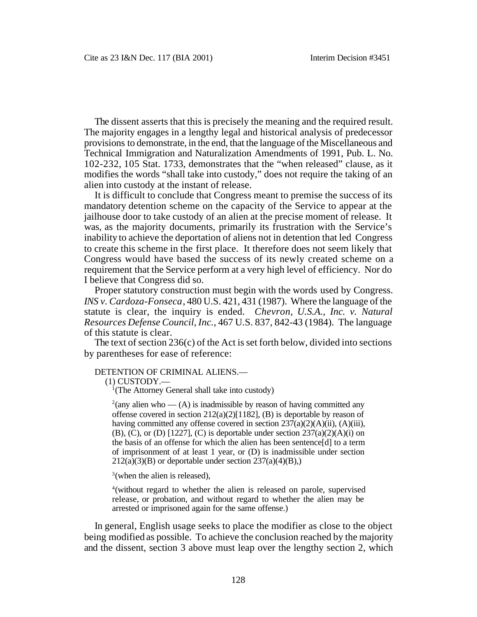The dissent asserts that this is precisely the meaning and the required result. The majority engages in a lengthy legal and historical analysis of predecessor provisions to demonstrate, in the end, that the language of the Miscellaneous and Technical Immigration and Naturalization Amendments of 1991, Pub. L. No. 102-232, 105 Stat. 1733, demonstrates that the "when released" clause, as it modifies the words "shall take into custody," does not require the taking of an alien into custody at the instant of release.

It is difficult to conclude that Congress meant to premise the success of its mandatory detention scheme on the capacity of the Service to appear at the jailhouse door to take custody of an alien at the precise moment of release. It was, as the majority documents, primarily its frustration with the Service's inability to achieve the deportation of aliens not in detention that led Congress to create this scheme in the first place. It therefore does not seem likely that Congress would have based the success of its newly created scheme on a requirement that the Service perform at a very high level of efficiency. Nor do I believe that Congress did so.

Proper statutory construction must begin with the words used by Congress. *INS v. Cardoza-Fonseca*, 480 U.S. 421, 431 (1987). Where the language of the statute is clear, the inquiry is ended. *Chevron, U.S.A., Inc. v. Natural Resources Defense Council, Inc.*, 467 U.S. 837, 842-43 (1984). The language of this statute is clear.

The text of section 236(c) of the Act is set forth below, divided into sections by parentheses for ease of reference:

#### DETENTION OF CRIMINAL ALIENS.—

(1) CUSTODY.—

<sup>1</sup>(The Attorney General shall take into custody)

<sup>2</sup>(any alien who — (A) is inadmissible by reason of having committed any offense covered in section 212(a)(2)[1182], (B) is deportable by reason of having committed any offense covered in section  $237(a)(2)(A)(ii)$ , (A)(iii),  $(B)$ ,  $(C)$ , or  $(D)$  [1227],  $(C)$  is deportable under section 237(a)(2)(A)(i) on the basis of an offense for which the alien has been sentence[d] to a term of imprisonment of at least 1 year, or (D) is inadmissible under section  $212(a)(3)(B)$  or deportable under section  $237(a)(4)(B)$ ,)

 $3$ (when the alien is released),

4(without regard to whether the alien is released on parole, supervised release, or probation, and without regard to whether the alien may be arrested or imprisoned again for the same offense.)

In general, English usage seeks to place the modifier as close to the object being modified as possible. To achieve the conclusion reached by the majority and the dissent, section 3 above must leap over the lengthy section 2, which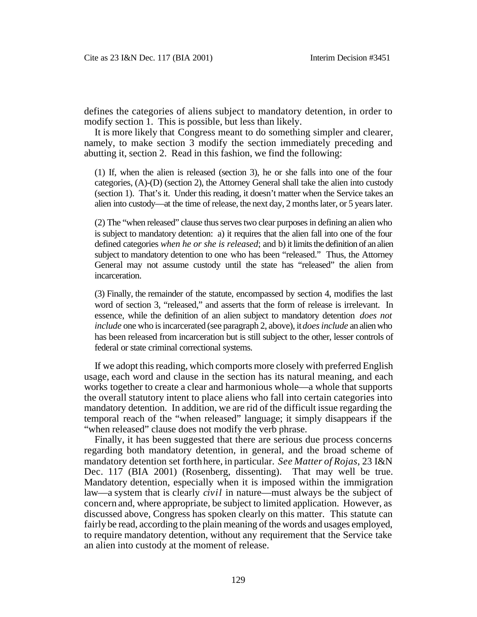defines the categories of aliens subject to mandatory detention, in order to modify section 1. This is possible, but less than likely.

It is more likely that Congress meant to do something simpler and clearer, namely, to make section 3 modify the section immediately preceding and abutting it, section 2. Read in this fashion, we find the following:

(1) If, when the alien is released (section 3), he or she falls into one of the four categories, (A)-(D) (section 2), the Attorney General shall take the alien into custody (section 1). That's it. Under this reading, it doesn't matter when the Service takes an alien into custody—at the time of release, the next day, 2 months later, or 5 years later.

(2) The "when released" clause thus serves two clear purposes in defining an alien who is subject to mandatory detention: a) it requires that the alien fall into one of the four defined categories *when he or she is released*; and b) it limits the definition of an alien subject to mandatory detention to one who has been "released." Thus, the Attorney General may not assume custody until the state has "released" the alien from incarceration.

(3) Finally, the remainder of the statute, encompassed by section 4, modifies the last word of section 3, "released," and asserts that the form of release is irrelevant. In essence, while the definition of an alien subject to mandatory detention *does not include* one who is incarcerated (see paragraph 2, above), it *does include* an alien who has been released from incarceration but is still subject to the other, lesser controls of federal or state criminal correctional systems.

If we adopt this reading, which comports more closely with preferred English usage, each word and clause in the section has its natural meaning, and each works together to create a clear and harmonious whole—a whole that supports the overall statutory intent to place aliens who fall into certain categories into mandatory detention. In addition, we are rid of the difficult issue regarding the temporal reach of the "when released" language; it simply disappears if the "when released" clause does not modify the verb phrase.

Finally, it has been suggested that there are serious due process concerns regarding both mandatory detention, in general, and the broad scheme of mandatory detention set forth here, in particular. *See Matter of Rojas*, 23 I&N Dec. 117 (BIA 2001) (Rosenberg, dissenting). That may well be true. Mandatory detention, especially when it is imposed within the immigration law—a system that is clearly *civil* in nature—must always be the subject of concern and, where appropriate, be subject to limited application. However, as discussed above, Congress has spoken clearly on this matter. This statute can fairly be read, according to the plain meaning of the words and usages employed, to require mandatory detention, without any requirement that the Service take an alien into custody at the moment of release.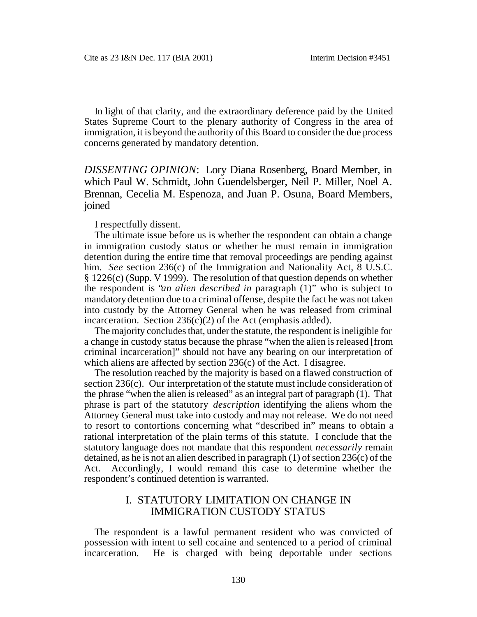In light of that clarity, and the extraordinary deference paid by the United States Supreme Court to the plenary authority of Congress in the area of immigration, it is beyond the authority of this Board to consider the due process concerns generated by mandatory detention.

*DISSENTING OPINION*: Lory Diana Rosenberg, Board Member, in which Paul W. Schmidt, John Guendelsberger, Neil P. Miller, Noel A. Brennan, Cecelia M. Espenoza, and Juan P. Osuna, Board Members, joined

I respectfully dissent.

The ultimate issue before us is whether the respondent can obtain a change in immigration custody status or whether he must remain in immigration detention during the entire time that removal proceedings are pending against him. *See* section 236(c) of the Immigration and Nationality Act, 8 U.S.C. § 1226(c) (Supp. V 1999). The resolution of that question depends on whether the respondent is "*an alien described in* paragraph (1)" who is subject to mandatory detention due to a criminal offense, despite the fact he was not taken into custody by the Attorney General when he was released from criminal incarceration. Section  $236(c)(2)$  of the Act (emphasis added).

The majority concludes that, under the statute, the respondent is ineligible for a change in custody status because the phrase "when the alien is released [from criminal incarceration]" should not have any bearing on our interpretation of which aliens are affected by section 236(c) of the Act. I disagree.

The resolution reached by the majority is based on a flawed construction of section 236(c). Our interpretation of the statute must include consideration of the phrase "when the alien is released" as an integral part of paragraph (1). That phrase is part of the statutory *description* identifying the aliens whom the Attorney General must take into custody and may not release. We do not need to resort to contortions concerning what "described in" means to obtain a rational interpretation of the plain terms of this statute. I conclude that the statutory language does not mandate that this respondent *necessarily* remain detained, as he is not an alien described in paragraph (1) of section 236(c) of the Act. Accordingly, I would remand this case to determine whether the respondent's continued detention is warranted.

## I. STATUTORY LIMITATION ON CHANGE IN IMMIGRATION CUSTODY STATUS

The respondent is a lawful permanent resident who was convicted of possession with intent to sell cocaine and sentenced to a period of criminal incarceration. He is charged with being deportable under sections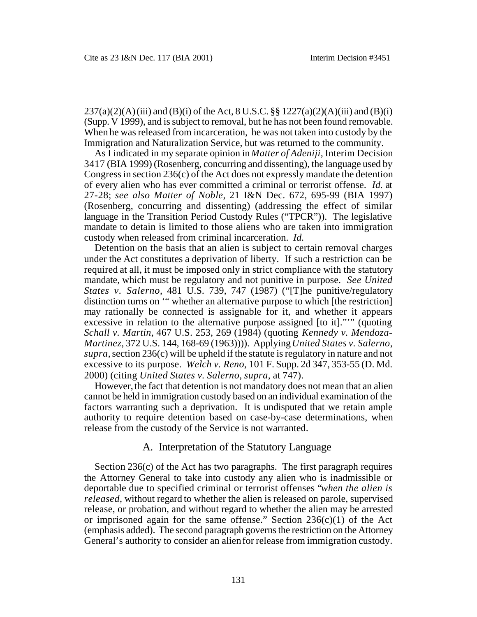$237(a)(2)(A)$  (iii) and (B)(i) of the Act, 8 U.S.C. §§ 1227(a)(2)(A)(iii) and (B)(i) (Supp. V 1999), and is subject to removal, but he has not been found removable. When he was released from incarceration, he was not taken into custody by the Immigration and Naturalization Service, but was returned to the community.

As I indicated in my separate opinion in *Matter of Adeniji*, Interim Decision 3417 (BIA 1999) (Rosenberg, concurring and dissenting), the language used by Congress in section 236(c) of the Act does not expressly mandate the detention of every alien who has ever committed a criminal or terrorist offense. *Id.* at 27-28; *see also Matter of Noble*, 21 I&N Dec. 672, 695-99 (BIA 1997) (Rosenberg, concurring and dissenting) (addressing the effect of similar language in the Transition Period Custody Rules ("TPCR")). The legislative mandate to detain is limited to those aliens who are taken into immigration custody when released from criminal incarceration. *Id.* 

Detention on the basis that an alien is subject to certain removal charges under the Act constitutes a deprivation of liberty. If such a restriction can be required at all, it must be imposed only in strict compliance with the statutory mandate, which must be regulatory and not punitive in purpose. *See United States v. Salerno*, 481 U.S. 739, 747 (1987) ("[T]he punitive/regulatory distinction turns on '" whether an alternative purpose to which [the restriction] may rationally be connected is assignable for it, and whether it appears excessive in relation to the alternative purpose assigned [to it]."'" (quoting *Schall v. Martin*, 467 U.S. 253, 269 (1984) (quoting *Kennedy v. Mendoza-Martinez*, 372 U.S. 144, 168-69 (1963)))). Applying *United States v. Salerno*, *supra*, section 236(c) will be upheld if the statute is regulatory in nature and not excessive to its purpose. *Welch v. Reno*, 101 F. Supp. 2d 347, 353-55 (D. Md. 2000) (citing *United States v. Salerno*, *supra*, at 747).

However, the fact that detention is not mandatory does not mean that an alien cannot be held in immigration custody based on an individual examination of the factors warranting such a deprivation. It is undisputed that we retain ample authority to require detention based on case-by-case determinations, when release from the custody of the Service is not warranted.

### A. Interpretation of the Statutory Language

Section 236(c) of the Act has two paragraphs. The first paragraph requires the Attorney General to take into custody any alien who is inadmissible or deportable due to specified criminal or terrorist offenses "*when the alien is released*, without regard to whether the alien is released on parole, supervised release, or probation, and without regard to whether the alien may be arrested or imprisoned again for the same offense." Section  $236(c)(1)$  of the Act (emphasis added). The second paragraph governs the restriction on the Attorney General's authority to consider an alien for release from immigration custody.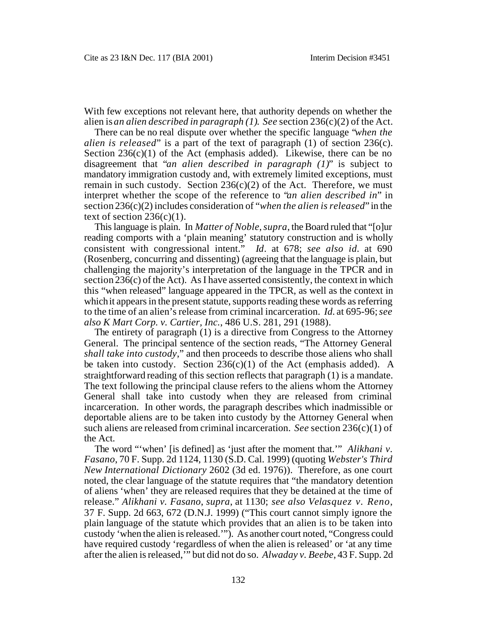With few exceptions not relevant here, that authority depends on whether the alien is *an alien described in paragraph (1)*. *See* section 236(c)(2) of the Act.

There can be no real dispute over whether the specific language "*when the alien is released*" is a part of the text of paragraph (1) of section 236(c). Section  $236(c)(1)$  of the Act (emphasis added). Likewise, there can be no disagreement that "*an alien described in paragraph (1)*" is subject to mandatory immigration custody and, with extremely limited exceptions, must remain in such custody. Section  $236(c)(2)$  of the Act. Therefore, we must interpret whether the scope of the reference to "*an alien described in*" in section 236(c)(2) includes consideration of "*when the alien is released*" in the text of section  $236(c)(1)$ .

This language is plain. In *Matter of Noble*, *supra*, the Board ruled that "[o]ur reading comports with a 'plain meaning' statutory construction and is wholly consistent with congressional intent." *Id*. at 678; *see also id.* at 690 (Rosenberg, concurring and dissenting) (agreeing that the language is plain, but challenging the majority's interpretation of the language in the TPCR and in section 236(c) of the Act). As I have asserted consistently, the context in which this "when released" language appeared in the TPCR, as well as the context in which it appears in the present statute, supports reading these words as referring to the time of an alien's release from criminal incarceration. *Id.* at 695-96; *see also K Mart Corp. v. Cartier, Inc.*, 486 U.S. 281, 291 (1988).

The entirety of paragraph (1) is a directive from Congress to the Attorney General. The principal sentence of the section reads, "The Attorney General *shall take into custody*," and then proceeds to describe those aliens who shall be taken into custody. Section  $236(c)(1)$  of the Act (emphasis added). A straightforward reading of this section reflects that paragraph (1) is a mandate. The text following the principal clause refers to the aliens whom the Attorney General shall take into custody when they are released from criminal incarceration. In other words, the paragraph describes which inadmissible or deportable aliens are to be taken into custody by the Attorney General when such aliens are released from criminal incarceration. *See* section 236(c)(1) of the Act.

The word "'when' [is defined] as 'just after the moment that.'" *Alikhani v. Fasano*, 70 F. Supp. 2d 1124, 1130 (S.D. Cal. 1999) (quoting *Webster's Third New International Dictionary* 2602 (3d ed. 1976)). Therefore, as one court noted, the clear language of the statute requires that "the mandatory detention of aliens 'when' they are released requires that they be detained at the time of release." *Alikhani v. Fasano*, *supra*, at 1130; *see also Velasquez v. Reno*, 37 F. Supp. 2d 663, 672 (D.N.J. 1999) ("This court cannot simply ignore the plain language of the statute which provides that an alien is to be taken into custody 'when the alien is released.'"). As another court noted, "Congress could have required custody 'regardless of when the alien is released' or 'at any time after the alien is released,'" but did not do so. *Alwaday v. Beebe*, 43 F. Supp. 2d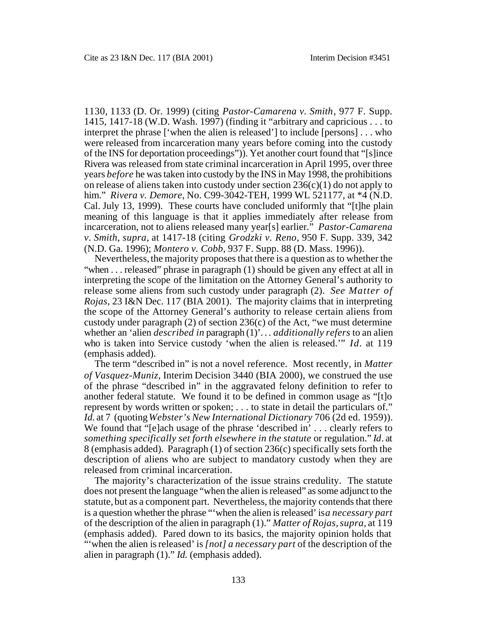1130, 1133 (D. Or. 1999) (citing *Pastor-Camarena v. Smith*, 977 F. Supp. 1415, 1417-18 (W.D. Wash. 1997) (finding it "arbitrary and capricious . . . to interpret the phrase ['when the alien is released'] to include [persons] . . . who were released from incarceration many years before coming into the custody of the INS for deportation proceedings")). Yet another court found that "[s]ince Rivera was released from state criminal incarceration in April 1995, over three years *before* he was taken into custody by the INS in May 1998, the prohibitions on release of aliens taken into custody under section  $236(c)(1)$  do not apply to him." *Rivera v. Demore*, No. C99-3042-TEH, 1999 WL 521177, at \*4 (N.D. Cal. July 13, 1999). These courts have concluded uniformly that "[t]he plain meaning of this language is that it applies immediately after release from incarceration, not to aliens released many year[s] earlier." *Pastor-Camarena v. Smith*, *supra*, at 1417-18 (citing *Grodzki v. Reno*, 950 F. Supp. 339, 342 (N.D. Ga. 1996); *Montero v. Cobb*, 937 F. Supp. 88 (D. Mass. 1996)).

Nevertheless, the majority proposes that there is a question as to whether the "when . . . released" phrase in paragraph (1) should be given any effect at all in interpreting the scope of the limitation on the Attorney General's authority to release some aliens from such custody under paragraph (2). *See Matter of Rojas*, 23 I&N Dec. 117 (BIA 2001). The majority claims that in interpreting the scope of the Attorney General's authority to release certain aliens from custody under paragraph (2) of section 236(c) of the Act, "we must determine whether an 'alien *described in* paragraph (1)'. . . *additionally refers* to an alien who is taken into Service custody 'when the alien is released.'" *Id.* at 119 (emphasis added).

The term "described in" is not a novel reference. Most recently, in *Matter of Vasquez-Muniz*, Interim Decision 3440 (BIA 2000), we construed the use of the phrase "described in" in the aggravated felony definition to refer to another federal statute. We found it to be defined in common usage as "[t]o represent by words written or spoken; . . . to state in detail the particulars of." *Id.* at 7 (quoting *Webster's New International Dictionary* 706 (2d ed. 1959)). We found that "[e]ach usage of the phrase 'described in' . . . clearly refers to *something specifically set forth elsewhere in the statute* or regulation." *Id*. at 8 (emphasis added). Paragraph (1) of section 236(c) specifically sets forth the description of aliens who are subject to mandatory custody when they are released from criminal incarceration.

The majority's characterization of the issue strains credulity. The statute does not present the language "when the alien is released" as some adjunct to the statute, but as a component part. Nevertheless, the majority contends that there is a question whether the phrase "'when the alien is released' is *a necessary part*  of the description of the alien in paragraph (1)." *Matter of Rojas*, *supra*, at 119 (emphasis added). Pared down to its basics, the majority opinion holds that "'when the alien is released' is *[not] a necessary part* of the description of the alien in paragraph (1)." *Id.* (emphasis added).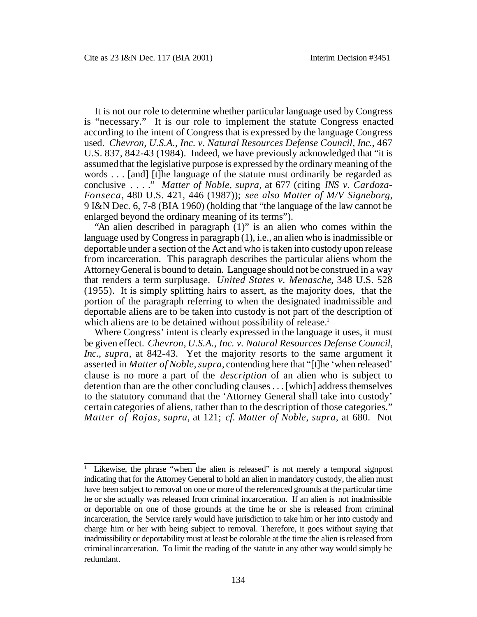It is not our role to determine whether particular language used by Congress is "necessary." It is our role to implement the statute Congress enacted according to the intent of Congress that is expressed by the language Congress used. *Chevron, U.S.A., Inc. v. Natural Resources Defense Council, Inc.*, 467 U.S. 837, 842-43 (1984). Indeed, we have previously acknowledged that "it is assumed that the legislative purpose is expressed by the ordinary meaning of the words . . . [and] [t]he language of the statute must ordinarily be regarded as conclusive . . . ." *Matter of Noble*, *supra*, at 677 (citing *INS v. Cardoza-Fonseca*, 480 U.S. 421, 446 (1987)); *see also Matter of M/V Signeborg*, 9 I&N Dec. 6, 7-8 (BIA 1960) (holding that "the language of the law cannot be enlarged beyond the ordinary meaning of its terms").

"An alien described in paragraph (1)" is an alien who comes within the language used by Congress in paragraph (1), i.e., an alien who is inadmissible or deportable under a section of the Act and who is taken into custody upon release from incarceration. This paragraph describes the particular aliens whom the Attorney General is bound to detain. Language should not be construed in a way that renders a term surplusage. *United States v. Menasche*, 348 U.S. 528 (1955). It is simply splitting hairs to assert, as the majority does, that the portion of the paragraph referring to when the designated inadmissible and deportable aliens are to be taken into custody is not part of the description of which aliens are to be detained without possibility of release.<sup>1</sup>

Where Congress' intent is clearly expressed in the language it uses, it must be given effect. *Chevron, U.S.A., Inc. v. Natural Resources Defense Council, Inc.*, *supra*, at 842-43. Yet the majority resorts to the same argument it asserted in *Matter of Noble*, *supra*, contending here that "[t]he 'when released' clause is no more a part of the *description* of an alien who is subject to detention than are the other concluding clauses . . . [which] address themselves to the statutory command that the 'Attorney General shall take into custody' certain categories of aliens, rather than to the description of those categories." *Matter of Rojas*, *supra*, at 121; *cf. Matter of Noble*, *supra*, at 680. Not

Likewise, the phrase "when the alien is released" is not merely a temporal signpost indicating that for the Attorney General to hold an alien in mandatory custody, the alien must have been subject to removal on one or more of the referenced grounds at the particular time he or she actually was released from criminal incarceration. If an alien is not inadmissible or deportable on one of those grounds at the time he or she is released from criminal incarceration, the Service rarely would have jurisdiction to take him or her into custody and charge him or her with being subject to removal. Therefore, it goes without saying that inadmissibility or deportability must at least be colorable at the time the alien is released from criminal incarceration. To limit the reading of the statute in any other way would simply be redundant. 1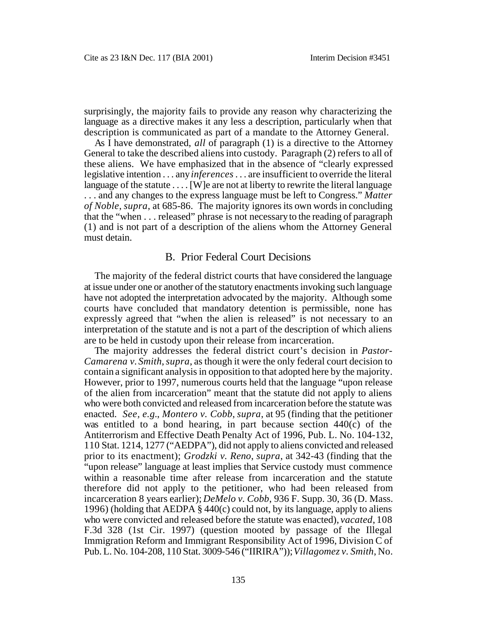surprisingly, the majority fails to provide any reason why characterizing the language as a directive makes it any less a description, particularly when that description is communicated as part of a mandate to the Attorney General.

As I have demonstrated, *all* of paragraph (1) is a directive to the Attorney General to take the described aliens into custody. Paragraph (2) refers to all of these aliens. We have emphasized that in the absence of "clearly expressed legislative intention . . . any *inferences* . . . are insufficient to override the literal language of the statute  $\dots$  [W]e are not at liberty to rewrite the literal language . . . and any changes to the express language must be left to Congress." *Matter of Noble*, *supra*, at 685-86. The majority ignores its own words in concluding that the "when . . . released" phrase is not necessary to the reading of paragraph (1) and is not part of a description of the aliens whom the Attorney General must detain.

### B. Prior Federal Court Decisions

The majority of the federal district courts that have considered the language at issue under one or another of the statutory enactments invoking such language have not adopted the interpretation advocated by the majority. Although some courts have concluded that mandatory detention is permissible, none has expressly agreed that "when the alien is released" is not necessary to an interpretation of the statute and is not a part of the description of which aliens are to be held in custody upon their release from incarceration.

The majority addresses the federal district court's decision in *Pastor-Camarena v. Smith*, *supra*, as though it were the only federal court decision to contain a significant analysis in opposition to that adopted here by the majority. However, prior to 1997, numerous courts held that the language "upon release of the alien from incarceration" meant that the statute did not apply to aliens who were both convicted and released from incarceration before the statute was enacted. *See, e.g.*, *Montero v. Cobb*, *supra*, at 95 (finding that the petitioner was entitled to a bond hearing, in part because section 440(c) of the Antiterrorism and Effective Death Penalty Act of 1996, Pub. L. No. 104-132, 110 Stat. 1214, 1277 ("AEDPA"), did not apply to aliens convicted and released prior to its enactment); *Grodzki v. Reno*, *supra*, at 342-43 (finding that the "upon release" language at least implies that Service custody must commence within a reasonable time after release from incarceration and the statute therefore did not apply to the petitioner, who had been released from incarceration 8 years earlier); *DeMelo v. Cobb*, 936 F. Supp. 30, 36 (D. Mass. 1996) (holding that AEDPA § 440(c) could not, by its language, apply to aliens who were convicted and released before the statute was enacted), *vacated*, 108 F.3d 328 (1st Cir. 1997) (question mooted by passage of the Illegal Immigration Reform and Immigrant Responsibility Act of 1996, Division C of Pub. L. No. 104-208, 110 Stat. 3009-546 ("IIRIRA")); *Villagomez v. Smith*, No.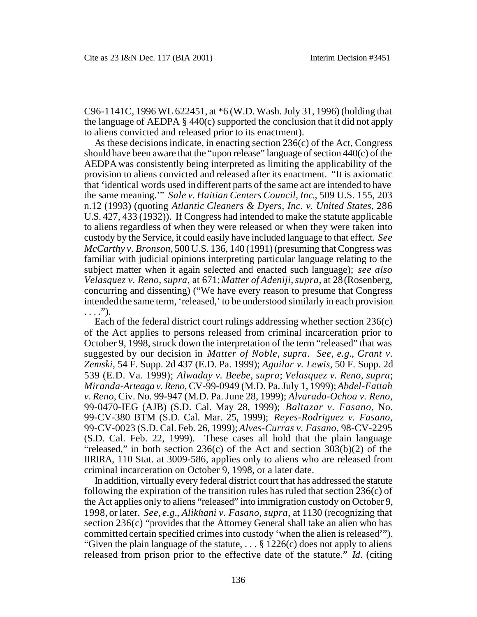C96-1141C, 1996 WL 622451, at \*6 (W.D. Wash. July 31, 1996) (holding that the language of AEDPA § 440(c) supported the conclusion that it did not apply to aliens convicted and released prior to its enactment).

As these decisions indicate, in enacting section 236(c) of the Act, Congress should have been aware that the "upon release" language of section 440(c) of the AEDPA was consistently being interpreted as limiting the applicability of the provision to aliens convicted and released after its enactment. "It is axiomatic that 'identical words used in different parts of the same act are intended to have the same meaning.'" *Sale v. Haitian Centers Council, Inc*., 509 U.S. 155, 203 n.12 (1993) (quoting *Atlantic Cleaners & Dyers, Inc. v. United States*, 286 U.S. 427, 433 (1932)). If Congress had intended to make the statute applicable to aliens regardless of when they were released or when they were taken into custody by the Service, it could easily have included language to that effect. *See McCarthy v. Bronson*, 500 U.S. 136, 140 (1991) (presuming that Congress was familiar with judicial opinions interpreting particular language relating to the subject matter when it again selected and enacted such language); *see also Velasquez v. Reno*, *supra*, at 671; *Matter of Adeniji*, *supra*, at 28 (Rosenberg, concurring and dissenting) ("We have every reason to presume that Congress intended the same term, 'released,' to be understood similarly in each provision  $\ldots$ .").

Each of the federal district court rulings addressing whether section 236(c) of the Act applies to persons released from criminal incarceration prior to October 9, 1998, struck down the interpretation of the term "released" that was suggested by our decision in *Matter of Noble*, *supra*. *See, e.g.*, *Grant v. Zemski*, 54 F. Supp. 2d 437 (E.D. Pa. 1999); *Aguilar v. Lewis*, 50 F. Supp. 2d 539 (E.D. Va. 1999); *Alwaday v. Beebe*, *supra*; *Velasquez v. Reno*, *supra*; *Miranda-Arteaga v. Reno*, CV-99-0949 (M.D. Pa. July 1, 1999); *Abdel-Fattah v. Reno*, Civ. No. 99-947 (M.D. Pa. June 28, 1999); *Alvarado-Ochoa v. Reno*, 99-0470-IEG (AJB) (S.D. Cal. May 28, 1999); *Baltazar v. Fasano*, No. 99-CV-380 BTM (S.D. Cal. Mar. 25, 1999); *Reyes-Rodriguez v. Fasano*, 99-CV-0023 (S.D. Cal. Feb. 26, 1999); *Alves-Curras v. Fasano*, 98-CV-2295 (S.D. Cal. Feb. 22, 1999). These cases all hold that the plain language "released," in both section  $236(c)$  of the Act and section  $303(b)(2)$  of the IIRIRA, 110 Stat. at 3009-586, applies only to aliens who are released from criminal incarceration on October 9, 1998, or a later date.

In addition, virtually every federal district court that has addressed the statute following the expiration of the transition rules has ruled that section 236(c) of the Act applies only to aliens "released" into immigration custody on October 9, 1998, or later. *See, e.g.*, *Alikhani v. Fasano*, *supra*, at 1130 (recognizing that section 236(c) "provides that the Attorney General shall take an alien who has committed certain specified crimes into custody 'when the alien is released'"). "Given the plain language of the statute,  $\ldots$  § 1226(c) does not apply to aliens released from prison prior to the effective date of the statute." *Id*. (citing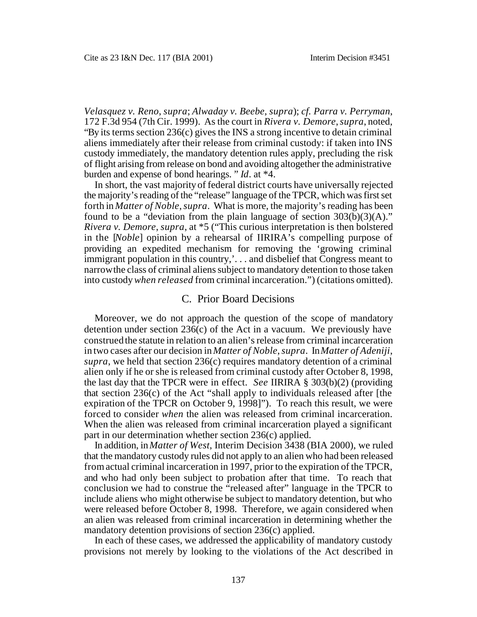*Velasquez v. Reno*, *supra*; *Alwaday v. Beebe*, *supra*); *cf. Parra v. Perryman*, 172 F.3d 954 (7th Cir. 1999). As the court in *Rivera v. Demore*, *supra*, noted, "By its terms section 236(c) gives the INS a strong incentive to detain criminal aliens immediately after their release from criminal custody: if taken into INS custody immediately, the mandatory detention rules apply, precluding the risk of flight arising from release on bond and avoiding altogether the administrative burden and expense of bond hearings. " *Id*. at \*4.

In short, the vast majority of federal district courts have universally rejected the majority's reading of the "release" language of the TPCR, which was first set forth in *Matter of Noble*, *supra*. What is more, the majority's reading has been found to be a "deviation from the plain language of section  $303(b)(3)(A)$ ." *Rivera v. Demore*, *supra*, at \*5 ("This curious interpretation is then bolstered in the [*Noble*] opinion by a rehearsal of IIRIRA's compelling purpose of providing an expedited mechanism for removing the 'growing criminal immigrant population in this country,'. . . and disbelief that Congress meant to narrow the class of criminal aliens subject to mandatory detention to those taken into custody *when released* from criminal incarceration.") (citations omitted).

#### C. Prior Board Decisions

Moreover, we do not approach the question of the scope of mandatory detention under section  $236(c)$  of the Act in a vacuum. We previously have construed the statute in relation to an alien's release from criminal incarceration in two cases after our decision in *Matter of Noble*, *supra*. In *Matter of Adeniji*, *supra*, we held that section 236(c) requires mandatory detention of a criminal alien only if he or she is released from criminal custody after October 8, 1998, the last day that the TPCR were in effect. *See* IIRIRA § 303(b)(2) (providing that section 236(c) of the Act "shall apply to individuals released after [the expiration of the TPCR on October 9, 1998]"). To reach this result, we were forced to consider *when* the alien was released from criminal incarceration. When the alien was released from criminal incarceration played a significant part in our determination whether section 236(c) applied.

In addition, in *Matter of West*, Interim Decision 3438 (BIA 2000), we ruled that the mandatory custody rules did not apply to an alien who had been released from actual criminal incarceration in 1997, prior to the expiration of the TPCR, and who had only been subject to probation after that time. To reach that conclusion we had to construe the "released after" language in the TPCR to include aliens who might otherwise be subject to mandatory detention, but who were released before October 8, 1998. Therefore, we again considered when an alien was released from criminal incarceration in determining whether the mandatory detention provisions of section 236(c) applied.

In each of these cases, we addressed the applicability of mandatory custody provisions not merely by looking to the violations of the Act described in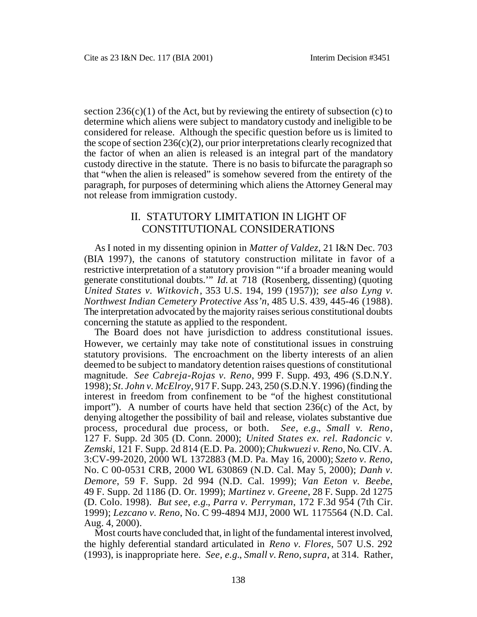section  $236(c)(1)$  of the Act, but by reviewing the entirety of subsection (c) to determine which aliens were subject to mandatory custody and ineligible to be considered for release. Although the specific question before us is limited to the scope of section  $236(c)(2)$ , our prior interpretations clearly recognized that the factor of when an alien is released is an integral part of the mandatory custody directive in the statute. There is no basis to bifurcate the paragraph so that "when the alien is released" is somehow severed from the entirety of the paragraph, for purposes of determining which aliens the Attorney General may not release from immigration custody.

# II. STATUTORY LIMITATION IN LIGHT OF CONSTITUTIONAL CONSIDERATIONS

As I noted in my dissenting opinion in *Matter of Valdez*, 21 I&N Dec. 703 (BIA 1997), the canons of statutory construction militate in favor of a restrictive interpretation of a statutory provision "'if a broader meaning would generate constitutional doubts.'" *Id.* at 718 (Rosenberg, dissenting) (quoting *United States v. Witkovich* , 353 U.S. 194, 199 (1957)); *see also Lyng v. Northwest Indian Cemetery Protective Ass'n*, 485 U.S. 439, 445-46 (1988). The interpretation advocated by the majority raises serious constitutional doubts concerning the statute as applied to the respondent.

The Board does not have jurisdiction to address constitutional issues. However, we certainly may take note of constitutional issues in construing statutory provisions. The encroachment on the liberty interests of an alien deemed to be subject to mandatory detention raises questions of constitutional magnitude. *See Cabreja-Rojas v. Reno*, 999 F. Supp. 493, 496 (S.D.N.Y. 1998); *St. John v. McElroy*, 917 F. Supp. 243, 250 (S.D.N.Y. 1996) (finding the interest in freedom from confinement to be "of the highest constitutional import"). A number of courts have held that section  $236(c)$  of the Act, by denying altogether the possibility of bail and release, violates substantive due process, procedural due process, or both. *See, e.g.*, *Small v. Reno*, 127 F. Supp. 2d 305 (D. Conn. 2000); *United States ex. rel. Radoncic v. Zemski*, 121 F. Supp. 2d 814 (E.D. Pa. 2000); *Chukwuezi v. Reno*, No. CIV. A. 3:CV-99-2020, 2000 WL 1372883 (M.D. Pa. May 16, 2000); *Szeto v. Reno*, No. C 00-0531 CRB, 2000 WL 630869 (N.D. Cal. May 5, 2000); *Danh v. Demore*, 59 F. Supp. 2d 994 (N.D. Cal. 1999); *Van Eeton v. Beebe*, 49 F. Supp. 2d 1186 (D. Or. 1999); *Martinez v. Greene*, 28 F. Supp. 2d 1275 (D. Colo. 1998). *But see, e.g.*, *Parra v. Perryman*, 172 F.3d 954 (7th Cir. 1999); *Lezcano v. Reno*, No. C 99-4894 MJJ, 2000 WL 1175564 (N.D. Cal. Aug. 4, 2000).

Most courts have concluded that, in light of the fundamental interest involved, the highly deferential standard articulated in *Reno v. Flores*, 507 U.S. 292 (1993), is inappropriate here. *See, e.g.*, *Small v. Reno*, *supra*, at 314. Rather,